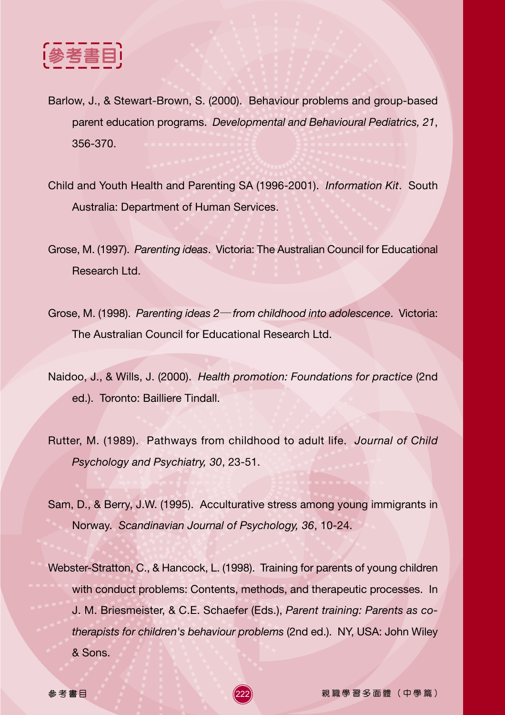

- Barlow, J., & Stewart-Brown, S. (2000). Behaviour problems and group-based parent education programs. *Developmental and Behavioural Pediatrics, 21*, 356-370.
- Child and Youth Health and Parenting SA (1996-2001). *Information Kit*. South Australia: Department of Human Services.
- Grose, M. (1997). *Parenting ideas*. Victoria: The Australian Council for Educational Research Ltd.
- Grose, M. (1998). *Parenting ideas 2 from childhood into adolescence*. Victoria: The Australian Council for Educational Research Ltd.
- Naidoo, J., & Wills, J. (2000). *Health promotion: Foundations for practice* (2nd ed.). Toronto: Bailliere Tindall.
- Rutter, M. (1989). Pathways from childhood to adult life. *Journal of Child Psychology and Psychiatry, 30*, 23-51.
- Sam, D., & Berry, J.W. (1995). Acculturative stress among young immigrants in Norway. *Scandinavian Journal of Psychology, 36*, 10-24.
- Webster-Stratton, C., & Hancock, L. (1998). Training for parents of young children with conduct problems: Contents, methods, and therapeutic processes. In J. M. Briesmeister, & C.E. Schaefer (Eds.), *Parent training: Parents as cotherapists for children's behaviour problems* (2nd ed.). NY, USA: John Wiley & Sons.

222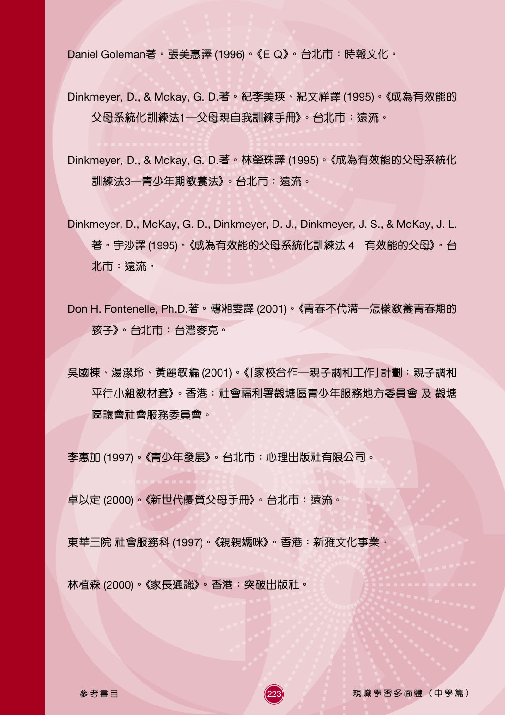Daniel Goleman著。張美惠譯 (1996)。《E Q》。 台北市:時報文化。

- Dinkmeyer, D., & Mckay, G. D.著。紀李美瑛﹑紀文祥譯 (1995)。《成為有效能的 父母系統化訓練法1―父母親自我訓練手冊》。 台北市:遠流。
- Dinkmeyer, D., & Mckay, G. D.- !"# (1995)- !"#\$%&'()\* 訓練法3—青少年期教養法》。 台北市:遠流。
- Dinkmeyer, D., McKay, G. D., Dinkmeyer, D. J., Dinkmeyer, J. S., & McKay, J. L. 著。宇沙譯 (1995)。<mark>《</mark>成為有效能的父母系統化訓練法 4—有效能的父母<mark>》</mark>。台 北市:遠流。
- Don H. Fontenelle, Ph.D.著。傅湘雯譯 (2001)。《青春不代溝—怎樣教養青春期的 孩子》。 台北市:台灣麥克。

吴國棟、湯潔玲、黃麗敏編 (2001)。《「家校合作―親子調和工作」計劃:親子調和 平行小組教材套》。 香港:社會福利署觀塘區青少年服務地方委員會 及 觀塘 區議會社會服務委員會。

223

李惠加 (1997)。《青少年發展》。 台北市:心理出版社有限公司。

卓以定 (2000)。《新世代優質父母手冊》。 台北市:遠流。

東華三院 社會服務科 (1997)。《親親媽咪》。香港:新雅文化事業。

林植森 (2000)。《家長通識》。香港:突破出版社。